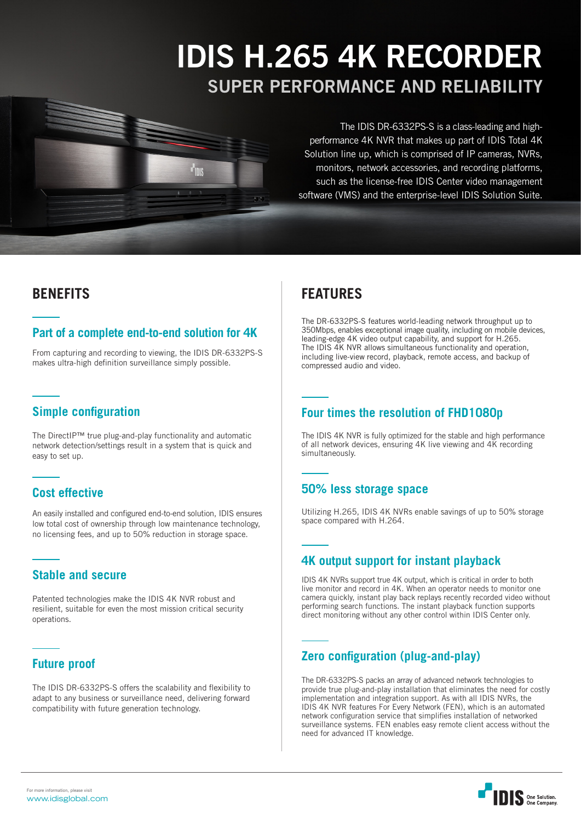# IDIS H.265 4K RECORDER SUPER PERFORMANCE AND RELIABILITY

The IDIS DR-6332PS-S is a class-leading and highperformance 4K NVR that makes up part of IDIS Total 4K Solution line up, which is comprised of IP cameras, NVRs, monitors, network accessories, and recording platforms, such as the license-free IDIS Center video management software (VMS) and the enterprise-level IDIS Solution Suite.

# **BENEFITS**

# **Part of a complete end-to-end solution for 4K**

**Tink** 

From capturing and recording to viewing, the IDIS DR-6332PS-S makes ultra-high definition surveillance simply possible.

# **Simple configuration**

The DirectIP™ true plug-and-play functionality and automatic network detection/settings result in a system that is quick and easy to set up.

# **Cost effective**

An easily installed and configured end-to-end solution, IDIS ensures low total cost of ownership through low maintenance technology, no licensing fees, and up to 50% reduction in storage space.

# **Stable and secure**

Patented technologies make the IDIS 4K NVR robust and resilient, suitable for even the most mission critical security operations.

# **Future proof**

The IDIS DR-6332PS-S offers the scalability and flexibility to adapt to any business or surveillance need, delivering forward compatibility with future generation technology.

# **FEATURES**

The DR-6332PS-S features world-leading network throughput up to 350Mbps, enables exceptional image quality, including on mobile devices, leading-edge 4K video output capability, and support for H.265. The IDIS 4K NVR allows simultaneous functionality and operation, including live-view record, playback, remote access, and backup of compressed audio and video.

# **Four times the resolution of FHD1080p**

The IDIS 4K NVR is fully optimized for the stable and high performance of all network devices, ensuring 4K live viewing and 4K recording simultaneously.

# **50% less storage space**

Utilizing H.265, IDIS 4K NVRs enable savings of up to 50% storage space compared with H.264.

# **4K output support for instant playback**

IDIS 4K NVRs support true 4K output, which is critical in order to both live monitor and record in 4K. When an operator needs to monitor one camera quickly, instant play back replays recently recorded video without performing search functions. The instant playback function supports direct monitoring without any other control within IDIS Center only.

# **Zero configuration (plug-and-play)**

The DR-6332PS-S packs an array of advanced network technologies to provide true plug-and-play installation that eliminates the need for costly implementation and integration support. As with all IDIS NVRs, the IDIS 4K NVR features For Every Network (FEN), which is an automated network configuration service that simplifies installation of networked surveillance systems. FEN enables easy remote client access without the need for advanced IT knowledge.